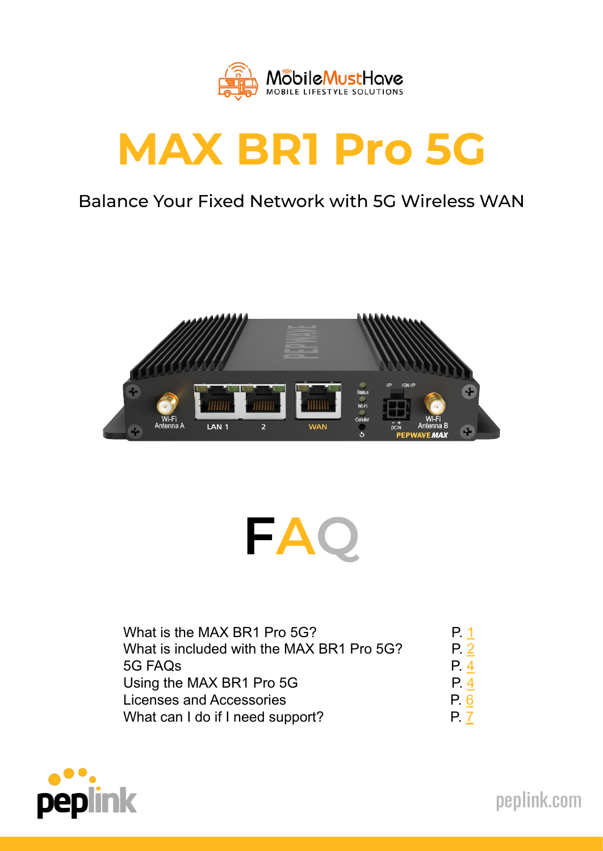

# **MAX BR1 Pro 5G**

# Balance Your Fixed Network with 5G Wireless WAN





| What is the MAX BR1 Pro 5G?               | P. 1          |
|-------------------------------------------|---------------|
| What is included with the MAX BR1 Pro 5G? | $P_{\cdot} 2$ |
| 5G FAQ <sub>S</sub>                       | P.4           |
| Using the MAX BR1 Pro 5G                  | P.4           |
| Licenses and Accessories                  | P. 6          |
| What can I do if I need support?          | P. 7          |



[peplink.com](https://www.peplink.com/)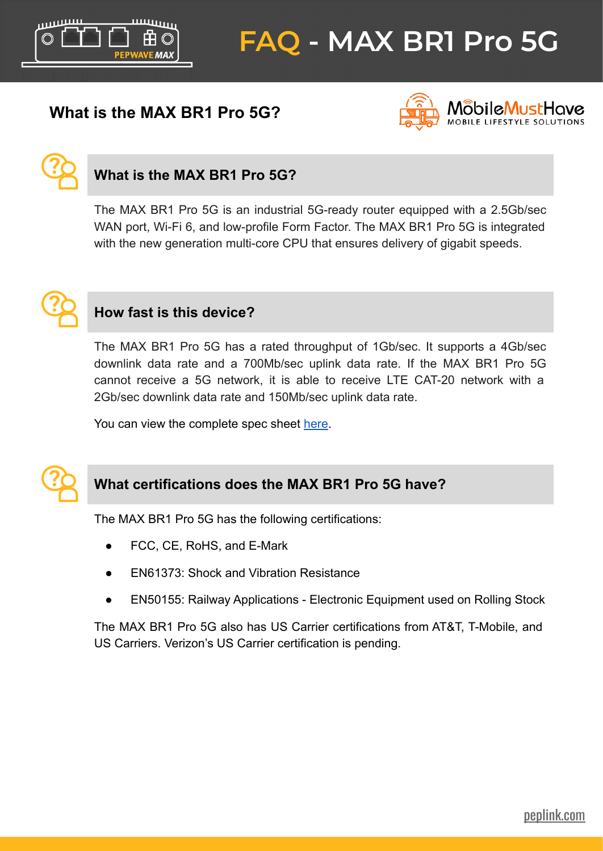<span id="page-1-0"></span>

# **What is the MAX BR1 Pro 5G?**





# **What is the MAX BR1 Pro 5G?**

The MAX BR1 Pro 5G is an industrial 5G-ready router equipped with a 2.5Gb/sec WAN port, Wi-Fi 6, and low-profile Form Factor. The MAX BR1 Pro 5G is integrated with the new generation multi-core CPU that ensures delivery of gigabit speeds.



#### **How fast is this device?**

The MAX BR1 Pro 5G has a rated throughput of 1Gb/sec. It supports a 4Gb/sec downlink data rate and a 700Mb/sec uplink data rate. If the MAX BR1 Pro 5G cannot receive a 5G network, it is able to receive LTE CAT-20 network with a 2Gb/sec downlink data rate and 150Mb/sec uplink data rate.

You can view the complete spec sheet [here](https://download.peplink.com/resources/pepwave_br1_pro_5g_datasheet.pdf).



# **What certifications does the MAX BR1 Pro 5G have?**

The MAX BR1 Pro 5G has the following certifications:

- FCC, CE, RoHS, and E-Mark
- **EN61373: Shock and Vibration Resistance**
- EN50155: Railway Applications Electronic Equipment used on Rolling Stock

The MAX BR1 Pro 5G also has US Carrier certifications from AT&T, T-Mobile, and US Carriers. Verizon's US Carrier certification is pending.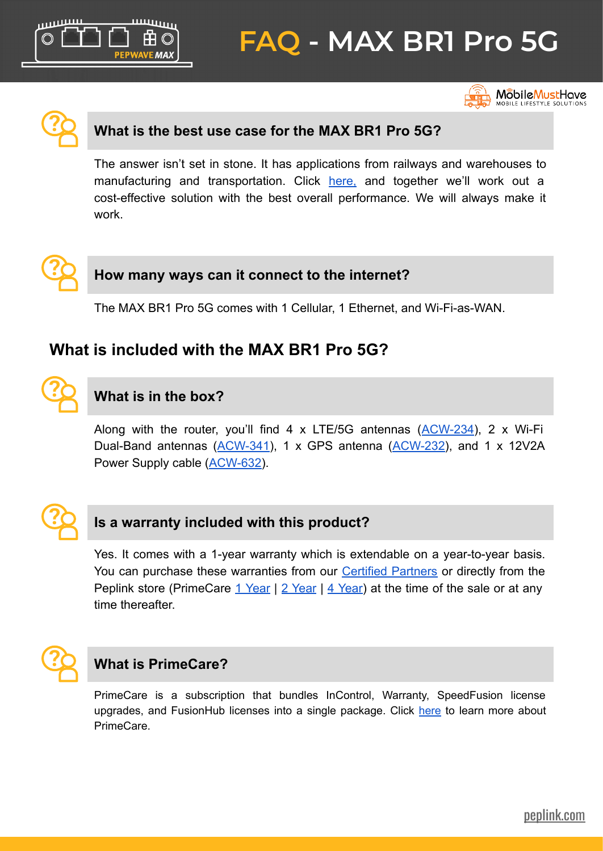<span id="page-2-0"></span>ېيىس **/EMAX** 

# **FAQ - MAX BR1 Pro 5G**



Mõbile<mark>Must</mark>Have **NOBILE LIFESTYLE SOLUTION** 



#### **What is the best use case for the MAX BR1 Pro 5G?**

The answer isn't set in stone. It has applications from railways and warehouses to manufacturing and transportation. Click [here,](https://contact.peplink.com/secure/sales-inquiry.html) and together we'll work out a cost-effective solution with the best overall performance. We will always make it work.



**?**

#### **How many ways can it connect to the internet?**

The MAX BR1 Pro 5G comes with 1 Cellular, 1 Ethernet, and Wi-Fi-as-WAN.

# **What is included with the MAX BR1 Pro 5G?**

# **What is in the box?**

Along with the router, you'll find 4 x LTE/5G antennas  $(ACW-234)$  $(ACW-234)$ , 2 x Wi-Fi Dual-Band antennas ([ACW-341](https://estore.peplink.com/products/acw-341)), 1 x GPS antenna ([ACW-232](https://estore.peplink.com/products/acw-232)), and 1 x 12V2A Power Supply cable [\(ACW-632](https://estore.peplink.com/search?criteria=acw-632)).



#### **Is a warranty included with this product?**

Yes. It comes with a 1-year warranty which is extendable on a year-to-year basis. You can purchase these warranties from our [Certified Partners](https://www.peplink.com/peplink-certified-partners/) or directly from the Peplink store (PrimeCare [1 Year](https://estore.peplink.com/products/prm-max-br1-pro-5g-1y) | [2 Year](https://estore.peplink.com/products/prm-max-br1-pro-5g-2y) | [4 Year](https://estore.peplink.com/products/prm-max-br1-pro-5g-4y)) at the time of the sale or at any time thereafter.



# **What is PrimeCare?**

PrimeCare is a subscription that bundles InControl, Warranty, SpeedFusion license upgrades, and FusionHub licenses into a single package. Click [here](https://www.peplink.com/support/peplink-primecare/) to learn more about PrimeCare.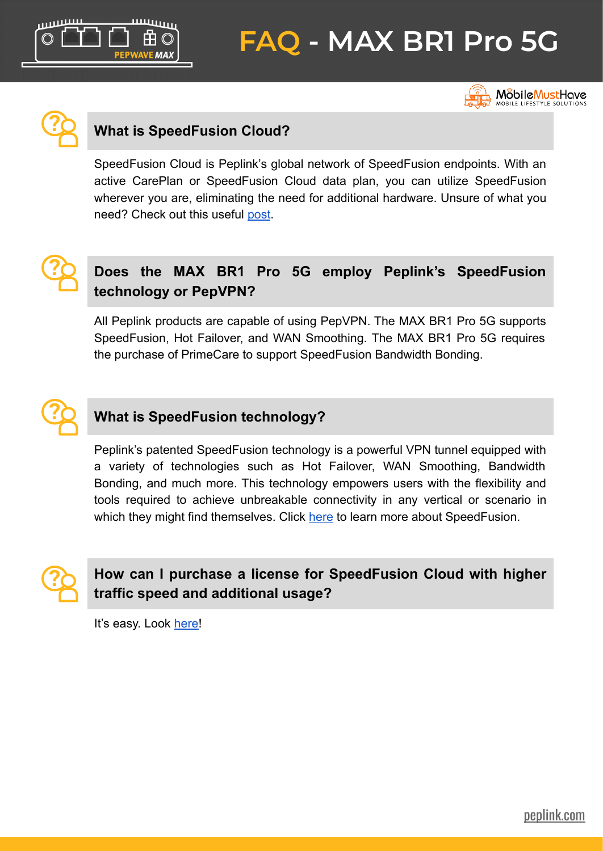**EMAX** 

# **FAQ - MAX BR1 Pro 5G**



**MobileMustHave**<br>MOBILE LIFESTYLE SOLUTIONS



# **What is SpeedFusion Cloud?**

SpeedFusion Cloud is Peplink's global network of SpeedFusion endpoints. With an active CarePlan or SpeedFusion Cloud data plan, you can utilize SpeedFusion wherever you are, eliminating the need for additional hardware. Unsure of what you need? Check out this useful [post](https://forum.peplink.com/t/faq-im-confused-what-is-speedfusion-speedfusion-cloud-and-fusionhub/35487).



# **Does the MAX BR1 Pro 5G employ Peplink's SpeedFusion technology or PepVPN?**

All Peplink products are capable of using PepVPN. The MAX BR1 Pro 5G supports SpeedFusion, Hot Failover, and WAN Smoothing. The MAX BR1 Pro 5G requires the purchase of PrimeCare to support SpeedFusion Bandwidth Bonding.



#### **What is SpeedFusion technology?**

Peplink's patented SpeedFusion technology is a powerful VPN tunnel equipped with a variety of technologies such as Hot Failover, WAN Smoothing, Bandwidth Bonding, and much more. This technology empowers users with the flexibility and tools required to achieve unbreakable connectivity in any vertical or scenario in which they might find themselves. Click [here](https://www.peplink.com/technology/speedfusion-bonding-technology/#speedfusion-technologies) to learn more about SpeedFusion.



# **How can I purchase a license for SpeedFusion Cloud with higher traffic speed and additional usage?**

It's easy. Look [here!](https://estore.peplink.com/categories/speedfusion-cloud/)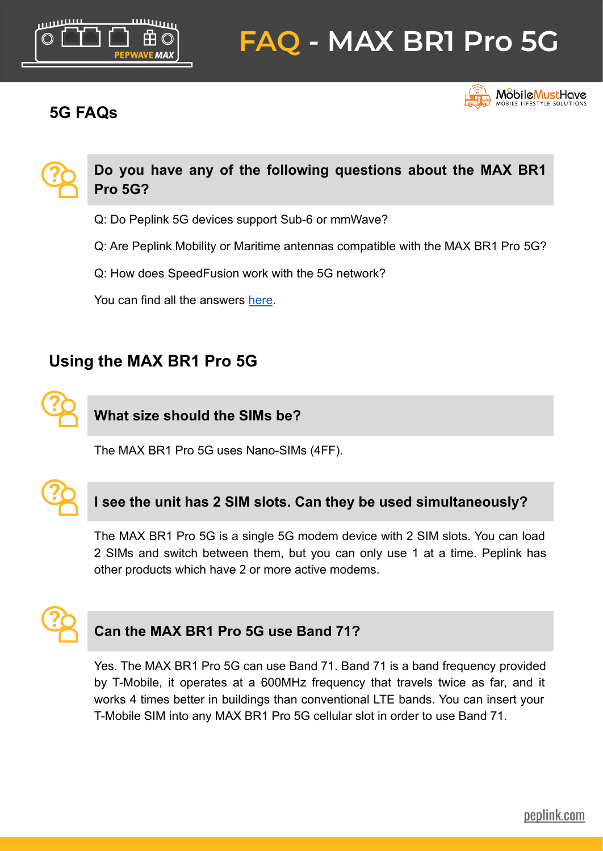<span id="page-4-0"></span>

# **5G FAQs**





- Q: Do Peplink 5G devices support Sub-6 or mmWave?
- Q: Are Peplink Mobility or Maritime antennas compatible with the MAX BR1 Pro 5G?
- Q: How does SpeedFusion work with the 5G network?

You can find all the answers [here](https://download.peplink.com/resources/pepwave_5g_faq.pdf).

# **Using the MAX BR1 Pro 5G**



**What size should the SIMs be?**

The MAX BR1 Pro 5G uses Nano-SIMs (4FF).



# **I see the unit has 2 SIM slots. Can they be used simultaneously?**

The MAX BR1 Pro 5G is a single 5G modem device with 2 SIM slots. You can load 2 SIMs and switch between them, but you can only use 1 at a time. Peplink has other products which have 2 or more active modems.



#### **Can the MAX BR1 Pro 5G use Band 71?**

Yes. The MAX BR1 Pro 5G can use Band 71. Band 71 is a band frequency provided by T-Mobile, it operates at a 600MHz frequency that travels twice as far, and it works 4 times better in buildings than conventional LTE bands. You can insert your T-Mobile SIM into any MAX BR1 Pro 5G cellular slot in order to use Band 71.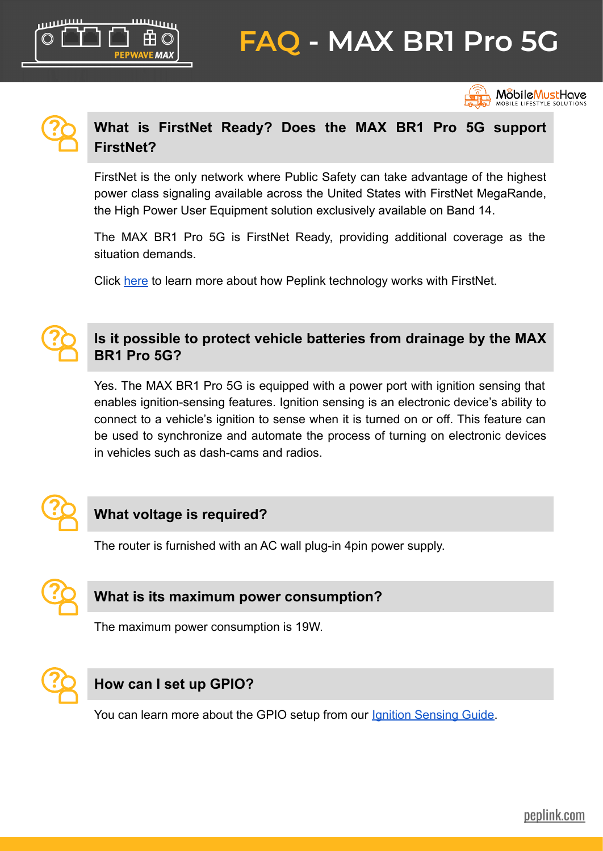



# **What is FirstNet Ready? Does the MAX BR1 Pro 5G support FirstNet?**

FirstNet is the only network where Public Safety can take advantage of the highest power class signaling available across the United States with FirstNet MegaRande, the High Power User Equipment solution exclusively available on Band 14.

The MAX BR1 Pro 5G is FirstNet Ready, providing additional coverage as the situation demands.

Click [here](https://www.peplink.com/unbreakable-firstnet-ready-sd-wan-public-safety/) to learn more about how Peplink technology works with FirstNet.



# **Is it possible to protect vehicle batteries from drainage by the MAX BR1 Pro 5G?**

Yes. The MAX BR1 Pro 5G is equipped with a power port with ignition sensing that enables ignition-sensing features. Ignition sensing is an electronic device's ability to connect to a vehicle's ignition to sense when it is turned on or off. This feature can be used to synchronize and automate the process of turning on electronic devices in vehicles such as dash-cams and radios.



# **What voltage is required?**

**EMAY** 

The router is furnished with an AC wall plug-in 4pin power supply.



# **What is its maximum power consumption?**

The maximum power consumption is 19W.



# **How can I set up GPIO?**

You can learn more about the GPIO setup from our [Ignition Sensing Guide](https://download.peplink.com/manual/peplink_transit_mini_wiring_guide.pdf).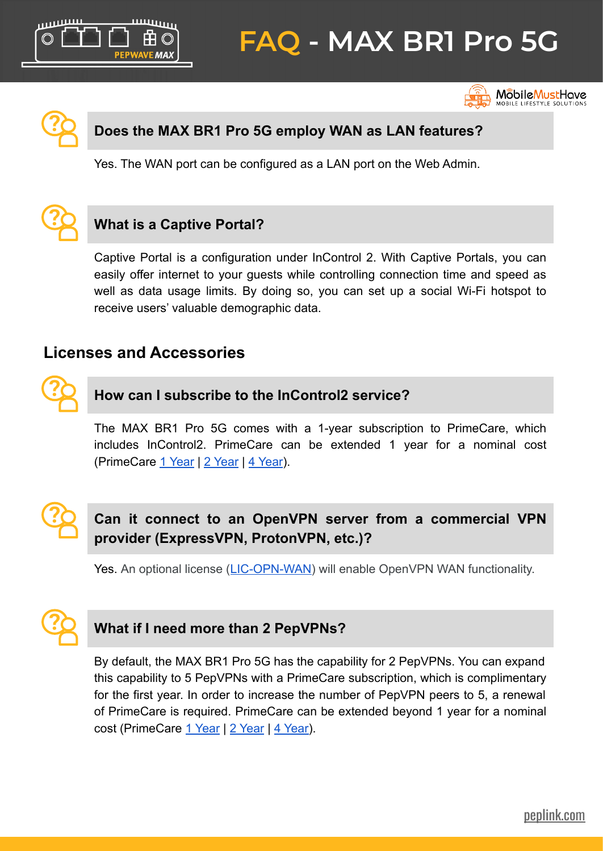

**MobileMustHave**<br>Mobile Lifestyle solutions



<span id="page-6-0"></span>بسس

#### **Does the MAX BR1 Pro 5G employ WAN as LAN features?**

Yes. The WAN port can be configured as a LAN port on the Web Admin.



# **What is a Captive Portal?**

**VE MAX** 

Captive Portal is a configuration under InControl 2. With Captive Portals, you can easily offer internet to your guests while controlling connection time and speed as well as data usage limits. By doing so, you can set up a social Wi-Fi hotspot to receive users' valuable demographic data.

# **Licenses and Accessories**



#### **How can I subscribe to the InControl2 service?**

The MAX BR1 Pro 5G comes with a 1-year subscription to PrimeCare, which includes InControl2. PrimeCare can be extended 1 year for a nominal cost (PrimeCare [1 Year](https://estore.peplink.com/products/prm-max-br1-pro-5g-1y) | [2 Year](https://estore.peplink.com/products/prm-max-br1-pro-5g-2y) | [4 Year](https://estore.peplink.com/products/prm-max-br1-pro-5g-4y)).



# **Can it connect to an OpenVPN server from a commercial VPN provider (ExpressVPN, ProtonVPN, etc.)?**

Yes. An optional license [\(LIC-OPN-WAN\)](https://estore.peplink.com/products/lic-opn-wan) will enable OpenVPN WAN functionality.



# **What if I need more than 2 PepVPNs?**

By default, the MAX BR1 Pro 5G has the capability for 2 PepVPNs. You can expand this capability to 5 PepVPNs with a PrimeCare subscription, which is complimentary for the first year. In order to increase the number of PepVPN peers to 5, a renewal of PrimeCare is required. PrimeCare can be extended beyond 1 year for a nominal cost (PrimeCare [1 Year](https://estore.peplink.com/products/prm-max-br1-pro-5g-1y) | [2 Year](https://estore.peplink.com/products/prm-max-br1-pro-5g-2y) | [4 Year\)](https://estore.peplink.com/products/prm-max-br1-pro-5g-4y).